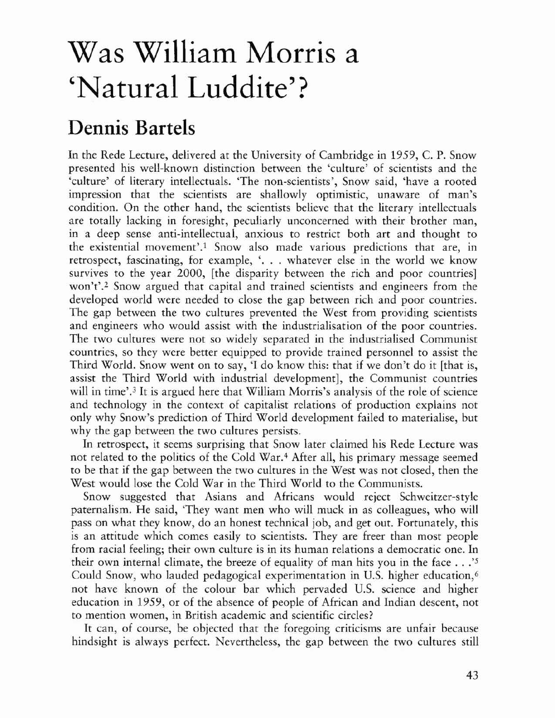## Was William Morris a 'Natural Luddite'?

## Dennis Bartels

In the Rede Lecture, delivered at the University of Cambridge in 1959, C. P. Snow presented his well·known distinction between the 'culture' of scientists and the 'culture' of literary intellectuals. 'The non-scientists', Snow said, 'have a rooted impression that the scientists are shallowly optimistic, unaware of man's condition. On the other hand, the scientists believe that rhe literary intellectuals are totally lacking in foresight, peculiarly unconcerned with their brother man, in a deep sense anti-intellectual, anxious to restrict both art and thought to the existential movement'.<sup>1</sup> Snow also made various predictions that are, in retrospect, fascinating, for example, '... whatever else in the world we know survives to the year 2000, [the disparity between the rich and poor countries] won't'.2 Snow argued that capital and trained scientists and engineers from the developed world were needed to close the gap between rich and poor countries. The gap between the two cultures prevented the West from providing scientists and engineers who would assist with the industrialisation of the poor countries. The two cultures were not so widely separated in the industrialised Communist countries, so they were better equipped to provide trained personnel to assist the Third World. Snow went on to say, 'I do know this: that if we don't do it [that is, assist the Third World with industrial development], the Communist countries will in time'.<sup>3</sup> It is argued here that William Morris's analysis of the role of science and technology in the context of capitalist relations of production explains not only why Snow's prediction of Third World development failed to materialise, but why the gap between the two cultures persists.

**In** retrospect, it seems surprising that Snow later claimed his Rede Lecture was not related to the politics of the Cold War.<sup>4</sup> After all, his primary message seemed to be that if the gap between the two cultures in the West was not closed, then the West would lose the Cold War in the Third World to the Communists.

Snow suggested that Asians and Africans would reject Schweitzer-style paternalism. He said, 'They want men who will muck in as colleagues, who will pass on what they know, do an honest technical job, and get out. Fortunately, this is an attitude which comes easily to scientists. They are freer than most people from racial feeling; their own culture is in its human relations a democratic one. In their own internal climate, the breeze of equality of man hits you in the face .. .'5 Could Snow, who lauded pedagogical experimentation in U.S. higher education,<sup>6</sup> not have known of the colour bar which pervaded D.S. science and higher education in 1959, or of the absence of people of African and Indian descent, not to mention women, in British academic and scientific circles?

It can, of course, be objected that the foregoing criticisms are unfair because hindsight is always perfect. Nevertheless, the gap between the two cultures still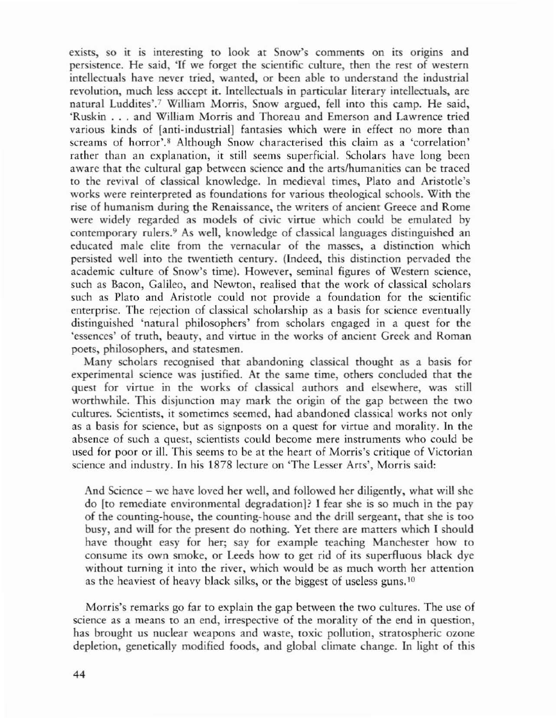exists, so it is interesting to look at Snow's comments on its origins and persistence. He said, 'If we forget the scientific culture, then the rest of western intellectuals have never tried, wanted, or been able to understand the industrial revolution, much less accept it. Intellectuals in particular literary intellectuals, are natural Luddites'.<sup>7</sup> William Morris, Snow argued, fell into this camp. He said, 'Ruskin ... and William Morris and Thoreau and Emerson and Lawrence tried various kinds of {anti-industrial} fantasies which were in effect no more than screams of horror'.<sup>8</sup> Although Snow characterised this claim as a 'correlation' rather than an explanation, it still seems superficial. Scholars have long been aware that the cultural gap between science and the arts/humanities can be traced to the revival of classical knowledge. In medieval times, Plato and Aristotle's works were reinterpreted as foundations for various theological schools. With the rise of humanism during the Renaissance, the writers of ancienr Greece and Rome were widely regarded as models of civic virtue which could be emulated by contemporary rulers.<sup>9</sup> As well, knowledge of classical languages distinguished an educated male elite from the vernacular of the masses, a distinction which persisted well into the rwentieth century. (Indeed, this distinction pervaded rhe academic culture of Snow's time), However, seminal figures of Western science, such as Bacon, Galileo, and Newton, realised that the work of classical scholars such as Plato and Aristotle could not provide a foundation for the scientific enterprise. The rejection of classical scholarship as a basis for science eventually distinguished 'natural philosophers' from scholars engaged in a quest for the 'essences' of truth, beauty, and virtue in the works of ancient Greek and Roman poets, philosophers, and statesmen.

Many scholars recognised that abandoning classical thought as a basis for experimental science was justified. At the same time, others concluded that the quest for virtue in the works of classical authors and elsewhere, was still worthwhile. This disjunction may mark the origin of the gap between the two cultures. Scientists, it sometimes seemed, had abandoned classical works not only as a basis for science, but as signposts on a quest for virtue and morality. In the absence of such a quest, scientists could become mere instruments who could be used for poor or ill. This seems to be at the heart of Morris's critique of Victorian science and industry. In his 1878 lecture on 'The Lesser Arts', Morris said:

And Science - wc have loved her well, and followed her diligently, what will she do [to remediate environmental degradationl? I fear she is so much in the pay of the counting-house, the counting-house and the drill sergeant, that she is too busy, and will for the present do nothing. Yet there are matters which I should have thought easy for her; say for example teaching Manchesrer how to consume irs own smoke, or Leeds how to get rid of its superfluous black dye without turning it into the river, which would be as much worth her attention as the heaviest of heavy black silks, or the biggest of useless guns,  $10$ 

Morris's remarks go far to explain the gap between the two cultures. The use of science as a means to an end, irrespective of the moraliry of rhe end in question, has brought us nuclear weapons and waste, toxic pollution, stratospheric ozone depletion, genetically modified foods, and global climate change. In light of this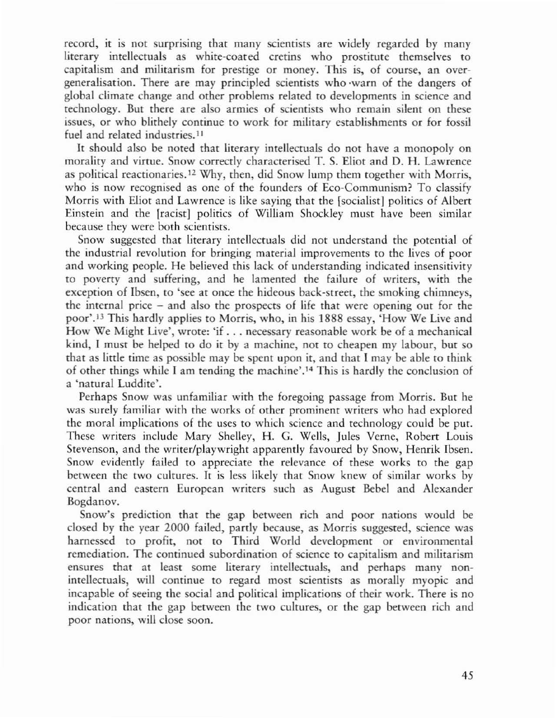record, it is not surprising that many scientists are widely regarded by many literary intellectuals as white-coated cretins who prostitute themselves to capitalism and militarism for prestige or money. This is, of course, an overgeneralisation. There are may principled scientists who 'warn of the dangers of global climate change and other problems related to developments in science and technology. But there are also armies of scientists who remain silent on these issues, or who blithely continue to work for military establishments or for fossil fuel and related industries.<sup>11</sup>

It should also be noted that literary intellectuals do not have a monopoly on morality and virtue. Snow correctly characterised T. S. Eliot and D. H. Lawrence as political reactionaries.<sup>12</sup> Why, then, did Snow lump them together with Morris, who is now recognised as one of the founders of Eco-Communism? To classify Morris with Eliot and Lawrence is like saying that the [socialist] politics of Albert Einstein and the [racist] politics of William Shockley must have been similar because they were both scientists.

Snow suggested that literary intellectuals did not understand the potential of the industrial revolution for bringing material improvements to the lives of poor and working people. He believed this lack of understanding indicated insensitivity to poverty and suffering, and he lamented the failure of writers, with the exception of Ibsen, to 'see at once the hideous back-street, the smoking chimneys, the internal price - and also the prospects of life that were opening our for the poor'.<sup>13</sup> This hardly applies to Morris, who, in his 1888 essay, 'How We Live and How We Might Live', wrote: 'if . . . necessary reasonable work be of a mechanical kind, I must be helped to do it by a machine, nor to cheapen my labour, bur so that as little time as possible may be spent upon it, and that I may be able to think of other things while I am tending the machine'.14 This is hardly the conclusion of a 'natural Luddite'.

Perhaps Snow was unfamiliar with the foregoing passage from Morris. But he was surely familiar with the works of other prominent writers who had explored the moral implications of the uses to which science and technology could be put. These writers include Mary Shelley, H. G. Wells, Jules Verne, Robert Louis Stevenson, and the writer/playwright apparently favoured by Snow, Henrik Ibsen. Snow evidently failed to appreciate the relevance of these works to the gap between the two cultures. It is less likely that Snow knew of similar works by central and eastern European writers such as August Bebel and Alexander Bogdanov.

Snow's prediction that the gap between rich and poor nations would be closed by the year 2000 failed, partly because, as Morris suggested, science was harnessed to profit, not to Third World development or environmental remediation. The continued subordination of science to capitalism and militarism ensures that at least some literary intellectuals, and perhaps many nonintellectuals, will continue to regard most scientists as morally myopic and incapable of seeing the social and political implications of their work. There is no indication that the gap between the two cultures, or the gap between rich and poor nations, will close soon.